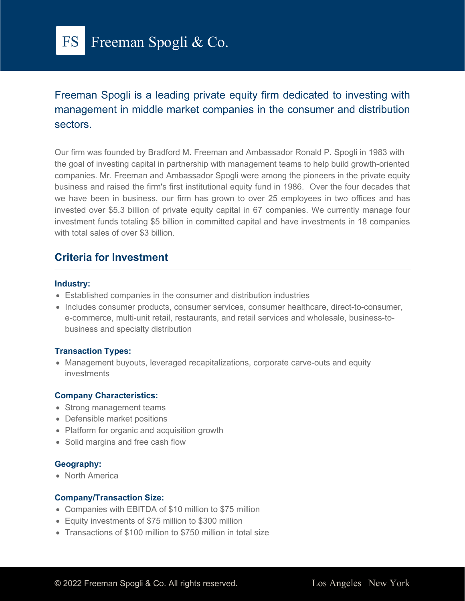

Freeman Spogli is a leading private equity firm dedicated to investing with management in middle market companies in the consumer and distribution sectors.

Our firm was founded by Bradford M. Freeman and Ambassador Ronald P. Spogli in 1983 with the goal of investing capital in partnership with management teams to help build growth-oriented companies. Mr. Freeman and Ambassador Spogli were among the pioneers in the private equity business and raised the firm's first institutional equity fund in 1986. Over the four decades that we have been in business, our firm has grown to over 25 employees in two offices and has invested over \$5.3 billion of private equity capital in 67 companies. We currently manage four investment funds totaling \$5 billion in committed capital and have investments in 18 companies with total sales of over \$3 billion

## **Criteria for Investment**

#### **Industry:**

- Established companies in the consumer and distribution industries
- Includes consumer products, consumer services, consumer healthcare, direct-to-consumer, e-commerce, multi-unit retail, restaurants, and retail services and wholesale, business-tobusiness and specialty distribution

#### **Transaction Types:**

• Management buyouts, leveraged recapitalizations, corporate carve-outs and equity investments

### **Company Characteristics:**

- Strong management teams
- Defensible market positions
- Platform for organic and acquisition growth
- Solid margins and free cash flow

#### **Geography:**

• North America

#### **Company/Transaction Size:**

- Companies with EBITDA of \$10 million to \$75 million
- Equity investments of \$75 million to \$300 million
- Transactions of \$100 million to \$750 million in total size